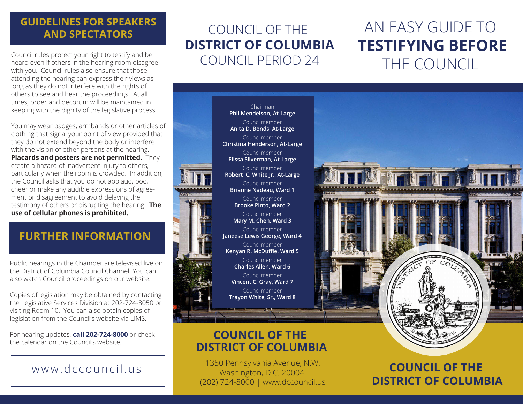### **GUIDELINES FOR SPEAKERS AND SPECTATORS**

Council rules protect your right to testify and be heard even if others in the hearing room disagree with you. Council rules also ensure that those attending the hearing can express their views as long as they do not interfere with the rights of others to see and hear the proceedings. At all times, order and decorum will be maintained in keeping with the dignity of the legislative process.

You may wear badges, armbands or other articles of clothing that signal your point of view provided that they do not extend beyond the body or interfere with the vision of other persons at the hearing. **Placards and posters are not permitted.** They create a hazard of inadvertent injury to others, particularly when the room is crowded. In addition, the Council asks that you do not applaud, boo, cheer or make any audible expressions of agreement or disagreement to avoid delaying the testimony of others or disrupting the hearing. **The use of cellular phones is prohibited.**

## **FURTHER INFORMATION**

Public hearings in the Chamber are televised live on the District of Columbia Council Channel. You can also watch Council proceedings on our website.

Copies of legislation may be obtained by contacting the Legislative Services Division at 202-724-8050 or visiting Room 10. You can also obtain copies of legislation from the Council's website via LIMS.

For hearing updates, **call 202-724-8000** or check the calendar on the Council's website.

## www.dccouncil.us

## COUNCIL OF THE **DISTRICT OF COLUMBIA** COUNCIL PERIOD 24

# AN EASY GUIDE TO **TESTIFYING BEFORE** THE COUNCIL



## **COUNCIL OF THE DISTRICT OF COLUMBIA**

1350 Pennsylvania Avenue, N.W. Washington, D.C. 20004 (202) 724-8000 | www.dccouncil.us

**COUNCIL OF THE DISTRICT OF COLUMBIA**